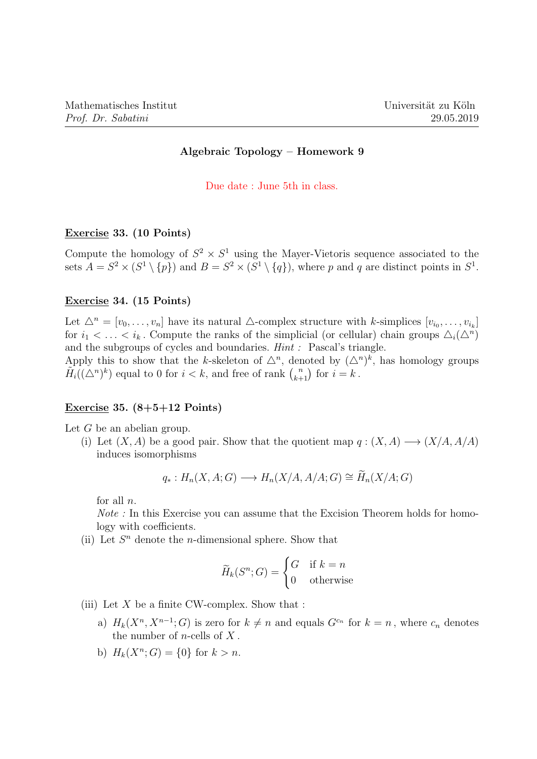# Algebraic Topology – Homework 9

#### Due date : June 5th in class.

## Exercise 33. (10 Points)

Compute the homology of  $S^2 \times S^1$  using the Mayer-Vietoris sequence associated to the sets  $A = S^2 \times (S^1 \setminus \{p\})$  and  $B = S^2 \times (S^1 \setminus \{q\})$ , where p and q are distinct points in  $S^1$ .

## Exercise 34. (15 Points)

Let  $\Delta^n = [v_0, \ldots, v_n]$  have its natural  $\Delta$ -complex structure with k-simplices  $[v_{i_0}, \ldots, v_{i_k}]$ for  $i_1 < \ldots < i_k$ . Compute the ranks of the simplicial (or cellular) chain groups  $\Delta_i(\Delta^n)$ and the subgroups of cycles and boundaries. Hint : Pascal's triangle.

Apply this to show that the k-skeleton of  $\Delta^n$ , denoted by  $({\Delta}^n)^k$ , has homology groups  $\tilde{H}_i((\triangle^n)^k)$  equal to 0 for  $i < k$ , and free of rank  $\binom{n}{k+1}$  for  $i = k$ .

#### Exercise 35.  $(8+5+12$  Points)

Let  $G$  be an abelian group.

(i) Let  $(X, A)$  be a good pair. Show that the quotient map  $q : (X, A) \longrightarrow (X/A, A/A)$ induces isomorphisms

$$
q_*: H_n(X, A; G) \longrightarrow H_n(X/A, A/A; G) \cong \widetilde{H}_n(X/A; G)
$$

for all  $n$ .

Note : In this Exercise you can assume that the Excision Theorem holds for homology with coefficients.

(ii) Let  $S<sup>n</sup>$  denote the *n*-dimensional sphere. Show that

$$
\widetilde{H}_k(S^n; G) = \begin{cases} G & \text{if } k = n \\ 0 & \text{otherwise} \end{cases}
$$

- (iii) Let  $X$  be a finite CW-complex. Show that :
	- a)  $H_k(X^n, X^{n-1}; G)$  is zero for  $k \neq n$  and equals  $G^{c_n}$  for  $k = n$ , where  $c_n$  denotes the number of  $n$ -cells of  $X$ .
	- b)  $H_k(X^n; G) = \{0\}$  for  $k > n$ .